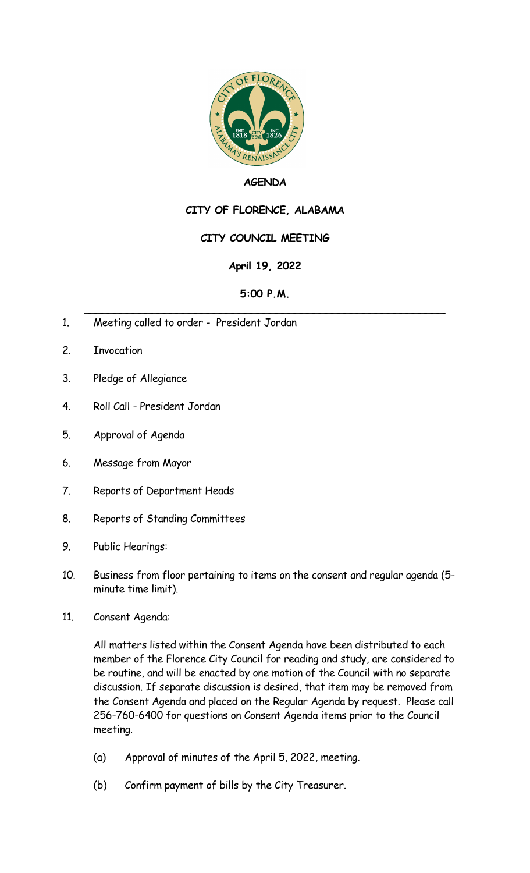

### **AGENDA**

# **CITY OF FLORENCE, ALABAMA**

## **CITY COUNCIL MEETING**

## **April 19, 2022**

#### **5:00 P.M.** \_\_\_\_\_\_\_\_\_\_\_\_\_\_\_\_\_\_\_\_\_\_\_\_\_\_\_\_\_\_\_\_\_\_\_\_\_\_\_\_\_\_\_\_\_\_\_\_\_\_\_\_\_\_\_\_\_\_

- 1. Meeting called to order President Jordan
- 2. Invocation
- 3. Pledge of Allegiance
- 4. Roll Call President Jordan
- 5. Approval of Agenda
- 6. Message from Mayor
- 7. Reports of Department Heads
- 8. Reports of Standing Committees
- 9. Public Hearings:
- 10. Business from floor pertaining to items on the consent and regular agenda (5 minute time limit).
- 11. Consent Agenda:

All matters listed within the Consent Agenda have been distributed to each member of the Florence City Council for reading and study, are considered to be routine, and will be enacted by one motion of the Council with no separate discussion. If separate discussion is desired, that item may be removed from the Consent Agenda and placed on the Regular Agenda by request. Please call 256-760-6400 for questions on Consent Agenda items prior to the Council meeting.

- (a) Approval of minutes of the April 5, 2022, meeting.
- (b) Confirm payment of bills by the City Treasurer.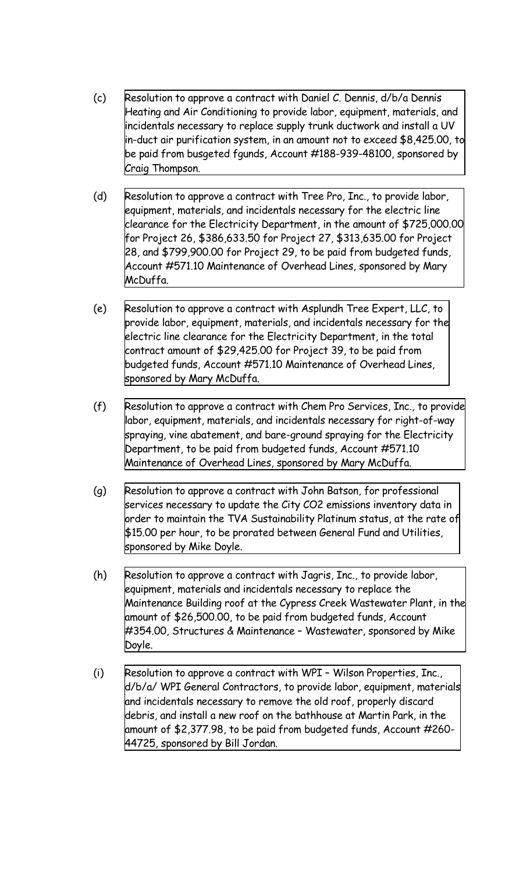- (c) Resolution to approve a contract with Daniel C. Dennis, d/b/a Dennis Heating and Air Conditioning to provide labor, equipment, materials, and incidentals necessary to replace supply trunk ductwork and install a UV in-duct air purification system, in an amount not to exceed \$8,425.00, to be paid from busgeted fgunds, Account [#188-939-48100,](http://www.shoalsweb.com/agenda/05192211c.pdf) sponsored by Craig Thompson.
- (d) Resolution to approve a contract with Tree Pro, Inc., to provide labor, equipment, materials, and incidentals necessary for the electric line clearance for the Electricity Department, in the amount of \$725,000.00 for Project 26, \$386,633.50 for Project 27, \$313,635.00 for Project 28, and [\\$799,900.00](http://www.shoalsweb.com/agenda/05192211d.pdf) for Project 29, to be paid from budgeted funds, Account #571.10 Maintenance of Overhead Lines, sponsored by Mary McDuffa.
- (e) Resolution to approve a contract with Asplundh Tree Expert, LLC, to provide labor, equipment, materials, and incidentals necessary for the electric line clearance for the Electricity [Department,](http://www.shoalsweb.com/agenda/05192211e.pdf) in the total contract amount of \$29,425.00 for Project 39, to be paid from budgeted funds, Account #571.10 Maintenance of Overhead Lines, sponsored by Mary McDuffa.
- (f) Resolution to approve a contract with Chem Pro Services, Inc., to provide labor, equipment, materials, and incidentals necessary for [right-of-way](http://www.shoalsweb.com/agenda/05192211f.pdf) spraying, vine abatement, and bare-ground spraying for the Electricity Department, to be paid from budgeted funds, Account #571.10 Maintenance of Overhead Lines, sponsored by Mary McDuffa.
- (g) Resolution to approve a contract with John Batson, for professional services necessary to update the City CO2 emissions inventory data in order to maintain the TVA [Sustainability](http://www.shoalsweb.com/agenda/05192211g.pdf) Platinum status, at the rate of \$15.00 per hour, to be prorated between General Fund and Utilities, sponsored by Mike Doyle.
- (h) Resolution to approve a contract with Jagris, Inc., to provide labor, equipment, materials and incidentals necessary to replace the Maintenance Building roof at the Cypress Creek Wastewater Plant, in the amount of \$26,500.00, to be paid from budgeted funds, Account #354.00, Structures & Maintenance – [Wastewater,](http://www.shoalsweb.com/agenda/05192211h.pdf) sponsored by Mike Doyle.
- (i) Resolution to approve a contract with WPI Wilson Properties, Inc., d/b/a/ WPI General [Contractors,](http://www.shoalsweb.com/agenda/05192211i.pdf) to provide labor, equipment, materials and incidentals necessary to remove the old roof, properly discard debris, and install a new roof on the bathhouse at Martin Park, in the amount of \$2,377.98, to be paid from budgeted funds, Account #260- 44725, sponsored by Bill Jordan.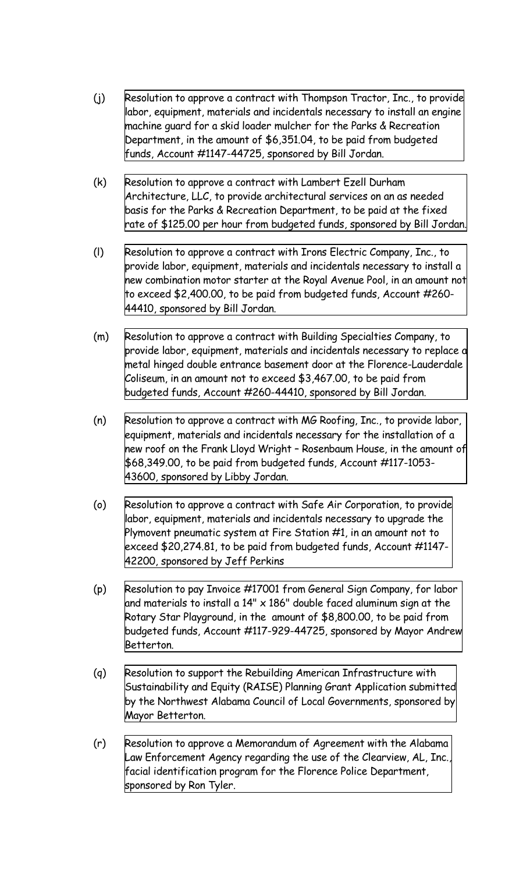- (j) Resolution to approve a contract with Thompson Tractor, Inc., to provide labor, equipment, materials and incidentals necessary to install an engine machine guard for a skid loader mulcher for the Parks & Recreation Department, in the amount of \$6,351.04, to be paid from budgeted funds, Account [#1147-44725,](http://www.shoalsweb.com/agenda/05192211j.pdf) sponsored by Bill Jordan.
- (k) Resolution to approve a contract with Lambert Ezell Durham [Architecture,](http://www.shoalsweb.com/agenda/05192211k.pdf) LLC, to provide architectural services on an as needed basis for the Parks & Recreation Department, to be paid at the fixed rate of \$125.00 per hour from budgeted funds, sponsored by Bill Jordan.
- (l) Resolution to approve a contract with Irons Electric Company, Inc., to provide labor, equipment, materials and incidentals necessary to install a new [combination](http://www.shoalsweb.com/agenda/05192211l.pdf) motor starter at the Royal Avenue Pool, in an amount not to exceed \$2,400.00, to be paid from budgeted funds, Account #260- 44410, sponsored by Bill Jordan.
- (m) Resolution to approve a contract with Building Specialties Company, to provide labor, equipment, materials and incidentals necessary to replace a metal hinged double entrance basement door at the [Florence-Lauderdale](http://www.shoalsweb.com/agenda/05192211m.pdf) Coliseum, in an amount not to exceed \$3,467.00, to be paid from budgeted funds, Account #260-44410, sponsored by Bill Jordan.
- (n) Resolution to approve a contract with MG Roofing, Inc., to provide labor, equipment, materials and incidentals necessary for the installation of a new roof on the Frank Lloyd Wright – Rosenbaum House, in the amount of [\\$68,349.00,](http://www.shoalsweb.com/agenda/05192211n.pdf) to be paid from budgeted funds, Account #117-1053- 43600, sponsored by Libby Jordan.
- (o) Resolution to approve a contract with Safe Air [Corporation,](http://www.shoalsweb.com/agenda/05192211o.pdf) to provide labor, equipment, materials and incidentals necessary to upgrade the Plymovent pneumatic system at Fire Station #1, in an amount not to exceed \$20,274.81, to be paid from budgeted funds, Account #1147- 42200, sponsored by Jeff Perkins
- (p) Resolution to pay Invoice #17001 from General Sign Company, for labor and materials to install a 14" x 186" double faced aluminum sign at the Rotary Star Playground, in the amount of \$8,800.00, to be paid from budgeted funds, Account [#117-929-44725,](http://www.shoalsweb.com/agenda/05192211p.pdf) sponsored by Mayor Andrew Betterton.
- (q) Resolution to support the Rebuilding American [Infrastructure](http://www.shoalsweb.com/agenda/05192211p.pdf) with Sustainability and Equity (RAISE) Planning Grant Application submitted by the Northwest Alabama Council of Local Governments, sponsored by Mayor Betterton.
- (r) Resolution to approve a Memorandum of Agreement with the Alabama Law Enforcement Agency regarding the use of the Clearview, AL, Inc., facial [identification](http://www.shoalsweb.com/agenda/05192211r.pdf) program for the Florence Police Department, sponsored by Ron Tyler.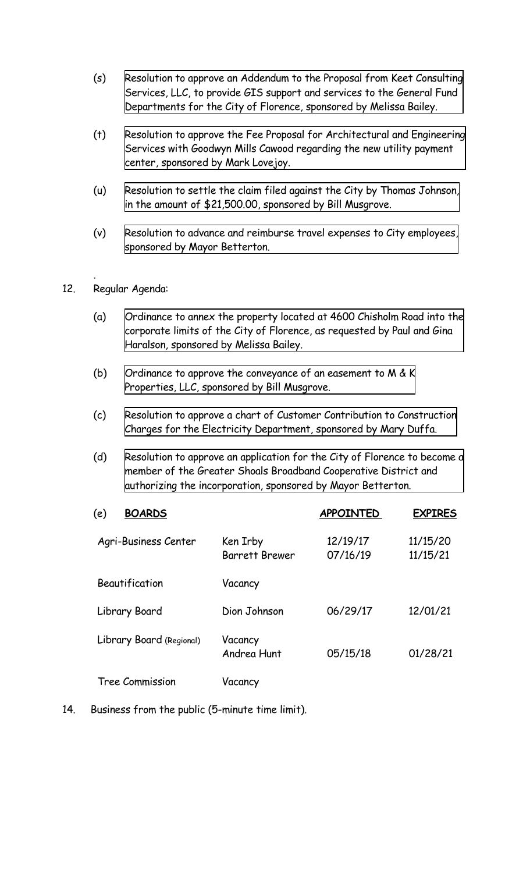- (s) Resolution to approve an Addendum to the Proposal from Keet Consulting Services, LLC, to provide GIS support and services to the General Fund [Departments](http://www.shoalsweb.com/agenda/05192211s.pdf) for the City of Florence, sponsored by Melissa Bailey.
- (t) Resolution to approve the Fee Proposal for [Architectural](http://www.shoalsweb.com/agenda/05192211t.pdf) and Engineering Services with Goodwyn Mills Cawood regarding the new utility payment center, sponsored by Mark Lovejoy.
- (u) Resolution to settle the claim filed against the City by Thomas Johnson, in the amount of [\\$21,500.00,](http://www.shoalsweb.com/agenda/05192211u.pdf) sponsored by Bill Musgrove.
- (v) Resolution to advance and reimburse travel expenses to City [employees,](http://www.shoalsweb.com/agenda/05192211v.pdf) sponsored by Mayor Betterton.

#### . 12. Regular Agenda:

- (a) [Ordinance](http://www.shoalsweb.com/agenda/05192212a.pdf) to annex the property located at 4600 Chisholm Road into the corporate limits of the City of Florence, as requested by Paul and Gina Haralson, sponsored by Melissa Bailey.
- (b) Ordinance to approve the [conveyance](http://www.shoalsweb.com/agenda/05192212b.pdf) of an easement to M & K Properties, LLC, sponsored by Bill Musgrove.
- (c) Resolution to approve a chart of Customer Contribution to [Construction](http://www.shoalsweb.com/agenda/05192212c.pdf) Charges for the Electricity Department, sponsored by Mary Duffa.
- (d) Resolution to approve an application for the City of Florence to become a member of the Greater Shoals Broadband Cooperative District and authorizing the [incorporation,](http://www.shoalsweb.com/agenda/05192212d.pdf) sponsored by Mayor Betterton.

| <b>BOARDS</b><br>(e)     |                                   | <b>APPOINTED</b>     | <b>EXPIRES</b>       |
|--------------------------|-----------------------------------|----------------------|----------------------|
| Agri-Business Center     | Ken Irby<br><b>Barrett Brewer</b> | 12/19/17<br>07/16/19 | 11/15/20<br>11/15/21 |
| Beautification           | Vacancy                           |                      |                      |
| Library Board            | Dion Johnson                      | 06/29/17             | 12/01/21             |
| Library Board (Regional) | Vacancy<br>Andrea Hunt            | 05/15/18             | 01/28/21             |
| Tree Commission          | Vacancy                           |                      |                      |

14. Business from the public (5-minute time limit).